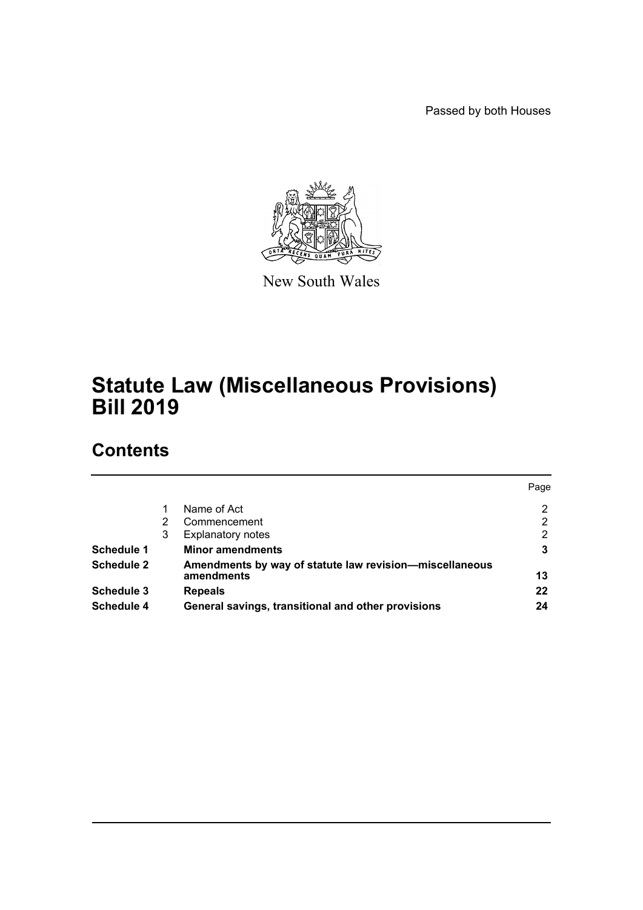Passed by both Houses



New South Wales

# **Statute Law (Miscellaneous Provisions) Bill 2019**

# **Contents**

|                   |   |                                                                       | Page |
|-------------------|---|-----------------------------------------------------------------------|------|
|                   |   | Name of Act                                                           | 2    |
|                   | 2 | Commencement                                                          | 2    |
|                   | 3 | <b>Explanatory notes</b>                                              | 2    |
| Schedule 1        |   | <b>Minor amendments</b>                                               | 3    |
| <b>Schedule 2</b> |   | Amendments by way of statute law revision-miscellaneous<br>amendments | 13   |
| Schedule 3        |   | <b>Repeals</b>                                                        | 22   |
| Schedule 4        |   | General savings, transitional and other provisions                    | 24   |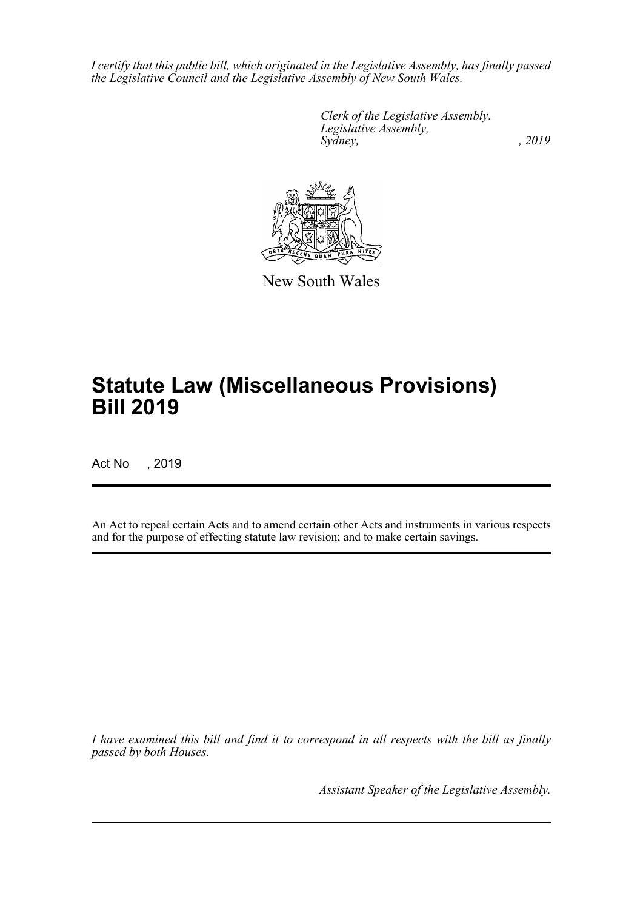*I certify that this public bill, which originated in the Legislative Assembly, has finally passed the Legislative Council and the Legislative Assembly of New South Wales.*

> *Clerk of the Legislative Assembly. Legislative Assembly, Sydney,* , 2019



New South Wales

# **Statute Law (Miscellaneous Provisions) Bill 2019**

Act No , 2019

An Act to repeal certain Acts and to amend certain other Acts and instruments in various respects and for the purpose of effecting statute law revision; and to make certain savings.

*I have examined this bill and find it to correspond in all respects with the bill as finally passed by both Houses.*

*Assistant Speaker of the Legislative Assembly.*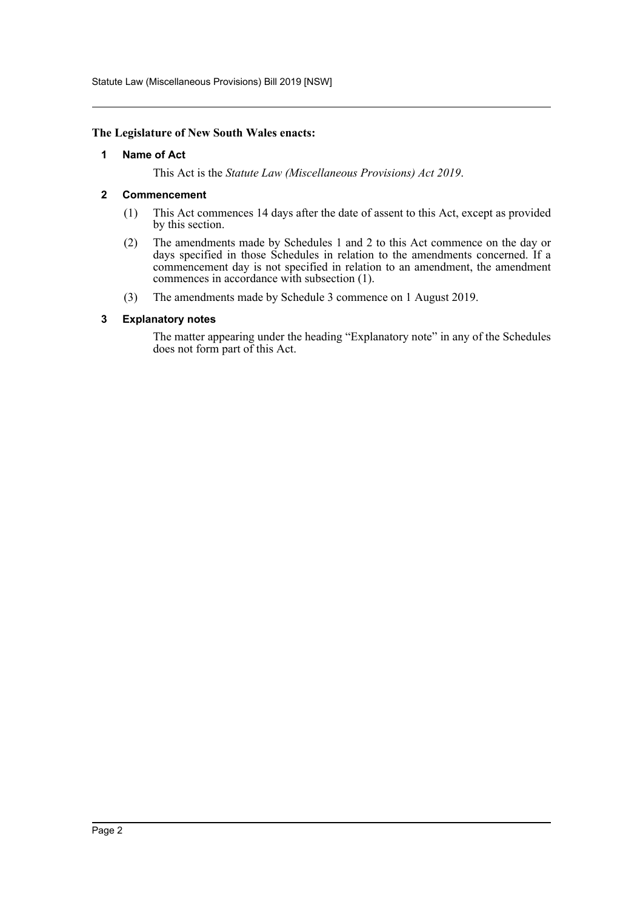Statute Law (Miscellaneous Provisions) Bill 2019 [NSW]

### <span id="page-2-0"></span>**The Legislature of New South Wales enacts:**

### **1 Name of Act**

This Act is the *Statute Law (Miscellaneous Provisions) Act 2019*.

### <span id="page-2-1"></span>**2 Commencement**

- (1) This Act commences 14 days after the date of assent to this Act, except as provided by this section.
- (2) The amendments made by Schedules 1 and 2 to this Act commence on the day or days specified in those Schedules in relation to the amendments concerned. If a commencement day is not specified in relation to an amendment, the amendment commences in accordance with subsection (1).
- (3) The amendments made by Schedule 3 commence on 1 August 2019.

### <span id="page-2-2"></span>**3 Explanatory notes**

The matter appearing under the heading "Explanatory note" in any of the Schedules does not form part of this Act.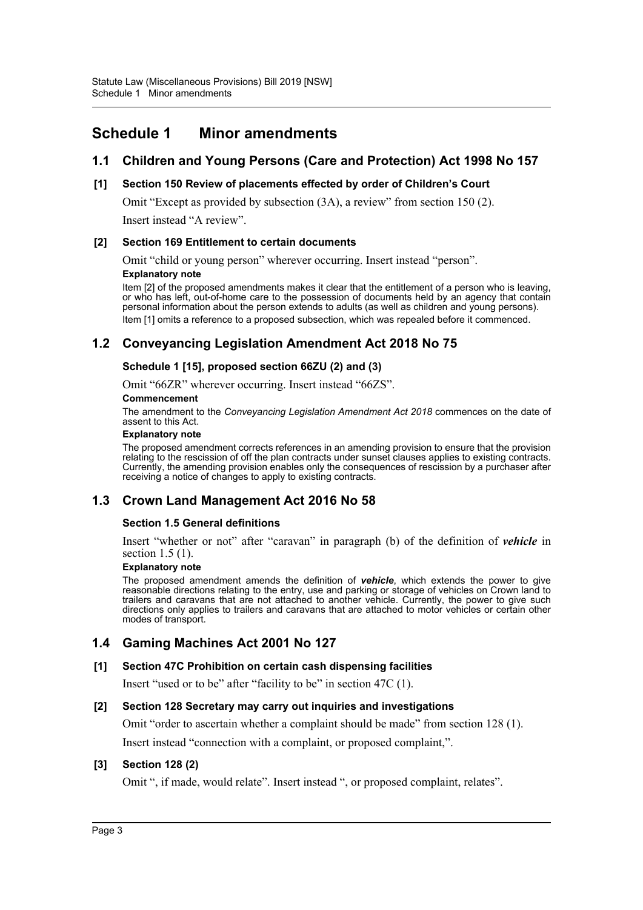# <span id="page-3-0"></span>**Schedule 1 Minor amendments**

# **1.1 Children and Young Persons (Care and Protection) Act 1998 No 157**

### **[1] Section 150 Review of placements effected by order of Children's Court**

Omit "Except as provided by subsection (3A), a review" from section 150 (2).

Insert instead "A review".

### **[2] Section 169 Entitlement to certain documents**

Omit "child or young person" wherever occurring. Insert instead "person".

### **Explanatory note**

Item [2] of the proposed amendments makes it clear that the entitlement of a person who is leaving, or who has left, out-of-home care to the possession of documents held by an agency that contain personal information about the person extends to adults (as well as children and young persons). Item [1] omits a reference to a proposed subsection, which was repealed before it commenced.

# **1.2 Conveyancing Legislation Amendment Act 2018 No 75**

### **Schedule 1 [15], proposed section 66ZU (2) and (3)**

Omit "66ZR" wherever occurring. Insert instead "66ZS".

### **Commencement**

The amendment to the *Conveyancing Legislation Amendment Act 2018* commences on the date of assent to this Act.

#### **Explanatory note**

The proposed amendment corrects references in an amending provision to ensure that the provision relating to the rescission of off the plan contracts under sunset clauses applies to existing contracts. Currently, the amending provision enables only the consequences of rescission by a purchaser after receiving a notice of changes to apply to existing contracts.

# **1.3 Crown Land Management Act 2016 No 58**

### **Section 1.5 General definitions**

Insert "whether or not" after "caravan" in paragraph (b) of the definition of *vehicle* in section 1.5 (1).

#### **Explanatory note**

The proposed amendment amends the definition of *vehicle*, which extends the power to give reasonable directions relating to the entry, use and parking or storage of vehicles on Crown land to trailers and caravans that are not attached to another vehicle. Currently, the power to give such directions only applies to trailers and caravans that are attached to motor vehicles or certain other modes of transport.

# **1.4 Gaming Machines Act 2001 No 127**

### **[1] Section 47C Prohibition on certain cash dispensing facilities**

Insert "used or to be" after "facility to be" in section 47C (1).

### **[2] Section 128 Secretary may carry out inquiries and investigations**

Omit "order to ascertain whether a complaint should be made" from section 128 (1).

Insert instead "connection with a complaint, or proposed complaint,".

### **[3] Section 128 (2)**

Omit ", if made, would relate". Insert instead ", or proposed complaint, relates".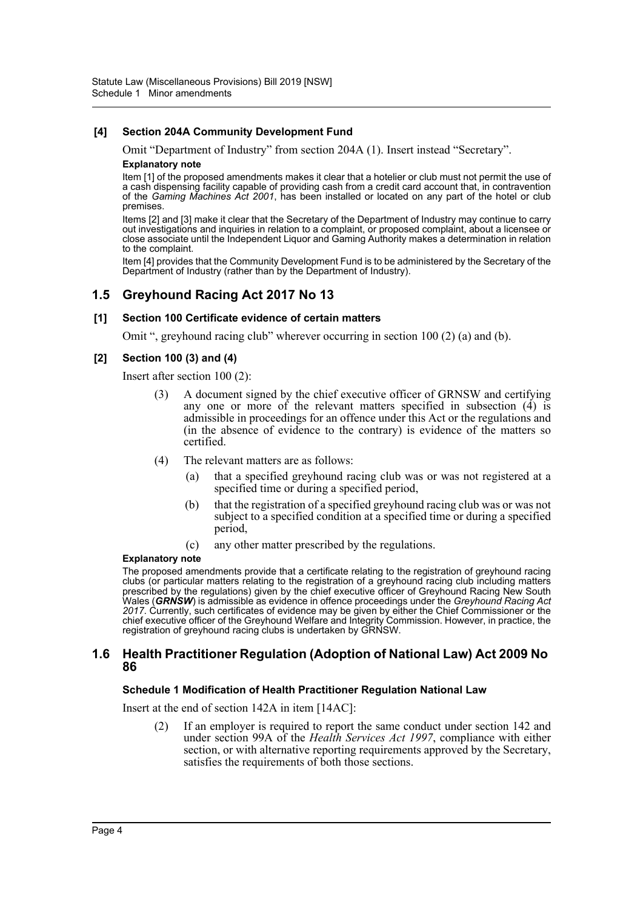### **[4] Section 204A Community Development Fund**

Omit "Department of Industry" from section 204A (1). Insert instead "Secretary".

### **Explanatory note**

Item [1] of the proposed amendments makes it clear that a hotelier or club must not permit the use of a cash dispensing facility capable of providing cash from a credit card account that, in contravention of the *Gaming Machines Act 2001*, has been installed or located on any part of the hotel or club premises.

Items [2] and [3] make it clear that the Secretary of the Department of Industry may continue to carry out investigations and inquiries in relation to a complaint, or proposed complaint, about a licensee or close associate until the Independent Liquor and Gaming Authority makes a determination in relation to the complaint.

Item [4] provides that the Community Development Fund is to be administered by the Secretary of the Department of Industry (rather than by the Department of Industry).

# **1.5 Greyhound Racing Act 2017 No 13**

### **[1] Section 100 Certificate evidence of certain matters**

Omit ", greyhound racing club" wherever occurring in section 100 (2) (a) and (b).

### **[2] Section 100 (3) and (4)**

Insert after section 100 (2):

- (3) A document signed by the chief executive officer of GRNSW and certifying any one or more of the relevant matters specified in subsection  $(4)$  is admissible in proceedings for an offence under this Act or the regulations and (in the absence of evidence to the contrary) is evidence of the matters so certified.
- (4) The relevant matters are as follows:
	- (a) that a specified greyhound racing club was or was not registered at a specified time or during a specified period,
	- (b) that the registration of a specified greyhound racing club was or was not subject to a specified condition at a specified time or during a specified period,
	- (c) any other matter prescribed by the regulations.

#### **Explanatory note**

The proposed amendments provide that a certificate relating to the registration of greyhound racing clubs (or particular matters relating to the registration of a greyhound racing club including matters prescribed by the regulations) given by the chief executive officer of Greyhound Racing New South Wales (*GRNSW*) is admissible as evidence in offence proceedings under the *Greyhound Racing Act* 2017. Currently, such certificates of evidence may be given by either the Chief Commissioner or the chief executive officer of the Greyhound Welfare and Integrity Commission. However, in practice, the registration of greyhound racing clubs is undertaken by GRNSW.

### **1.6 Health Practitioner Regulation (Adoption of National Law) Act 2009 No 86**

### **Schedule 1 Modification of Health Practitioner Regulation National Law**

Insert at the end of section 142A in item [14AC]:

(2) If an employer is required to report the same conduct under section 142 and under section 99A of the *Health Services Act 1997*, compliance with either section, or with alternative reporting requirements approved by the Secretary, satisfies the requirements of both those sections.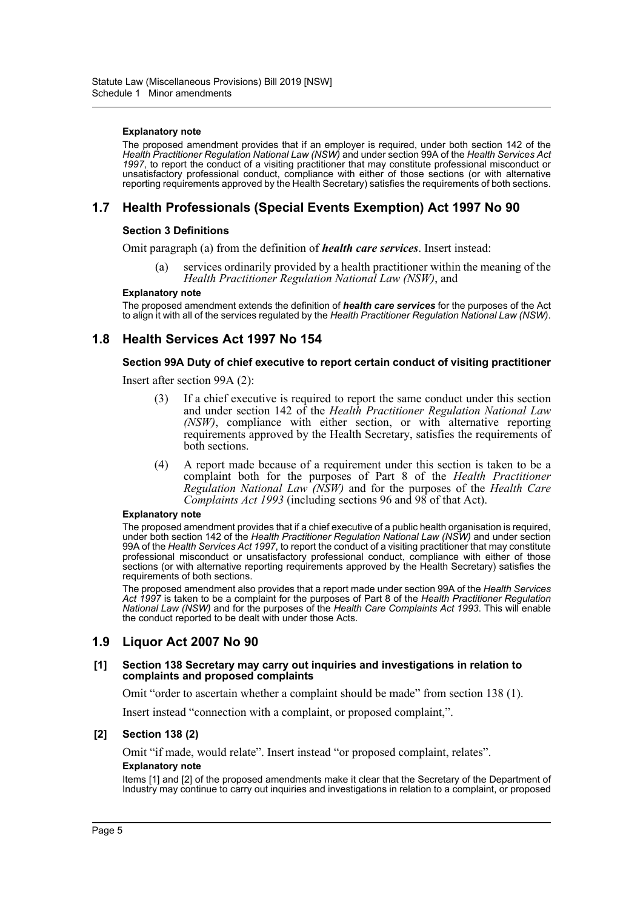#### **Explanatory note**

The proposed amendment provides that if an employer is required, under both section 142 of the *Health Practitioner Regulation National Law (NSW)* and under section 99A of the *Health Services Act 1997*, to report the conduct of a visiting practitioner that may constitute professional misconduct or unsatisfactory professional conduct, compliance with either of those sections (or with alternative reporting requirements approved by the Health Secretary) satisfies the requirements of both sections.

# **1.7 Health Professionals (Special Events Exemption) Act 1997 No 90**

### **Section 3 Definitions**

Omit paragraph (a) from the definition of *health care services*. Insert instead:

(a) services ordinarily provided by a health practitioner within the meaning of the *Health Practitioner Regulation National Law (NSW)*, and

#### **Explanatory note**

The proposed amendment extends the definition of *health care services* for the purposes of the Act to align it with all of the services regulated by the *Health Practitioner Regulation National Law (NSW)*.

# **1.8 Health Services Act 1997 No 154**

### **Section 99A Duty of chief executive to report certain conduct of visiting practitioner**

Insert after section 99A (2):

- (3) If a chief executive is required to report the same conduct under this section and under section 142 of the *Health Practitioner Regulation National Law (NSW)*, compliance with either section, or with alternative reporting requirements approved by the Health Secretary, satisfies the requirements of both sections.
- (4) A report made because of a requirement under this section is taken to be a complaint both for the purposes of Part 8 of the *Health Practitioner Regulation National Law (NSW)* and for the purposes of the *Health Care Complaints Act 1993* (including sections 96 and 98 of that Act).

#### **Explanatory note**

The proposed amendment provides that if a chief executive of a public health organisation is required, under both section 142 of the *Health Practitioner Regulation National Law (NSW)* and under section 99A of the *Health Services Act 1997*, to report the conduct of a visiting practitioner that may constitute professional misconduct or unsatisfactory professional conduct, compliance with either of those sections (or with alternative reporting requirements approved by the Health Secretary) satisfies the requirements of both sections.

The proposed amendment also provides that a report made under section 99A of the *Health Services Act 1997* is taken to be a complaint for the purposes of Part 8 of the *Health Practitioner Regulation National Law (NSW)* and for the purposes of the *Health Care Complaints Act 1993*. This will enable the conduct reported to be dealt with under those Acts.

### **1.9 Liquor Act 2007 No 90**

#### **[1] Section 138 Secretary may carry out inquiries and investigations in relation to complaints and proposed complaints**

Omit "order to ascertain whether a complaint should be made" from section 138 (1).

Insert instead "connection with a complaint, or proposed complaint,".

#### **[2] Section 138 (2)**

Omit "if made, would relate". Insert instead "or proposed complaint, relates".

#### **Explanatory note**

Items [1] and [2] of the proposed amendments make it clear that the Secretary of the Department of Industry may continue to carry out inquiries and investigations in relation to a complaint, or proposed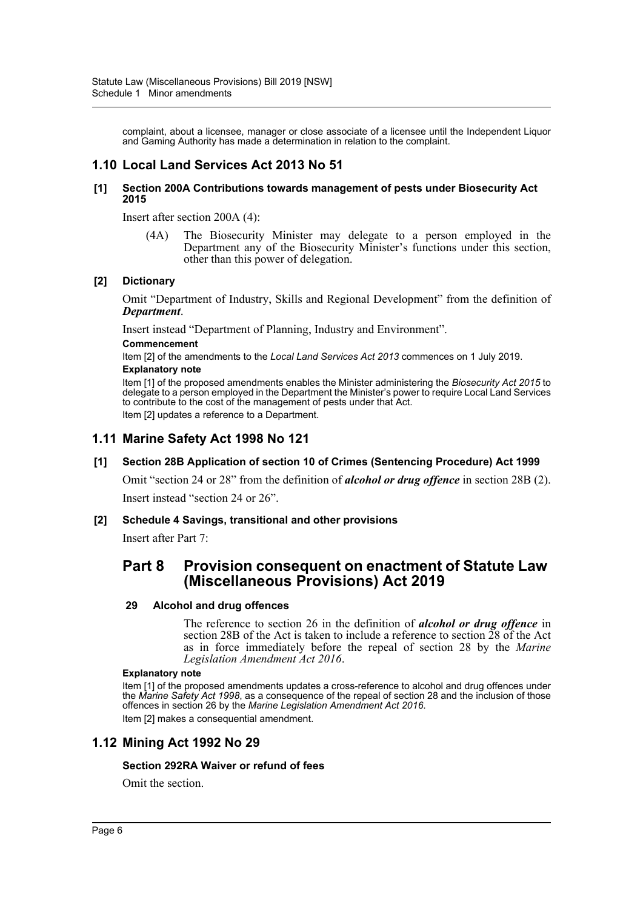complaint, about a licensee, manager or close associate of a licensee until the Independent Liquor and Gaming Authority has made a determination in relation to the complaint.

# **1.10 Local Land Services Act 2013 No 51**

### **[1] Section 200A Contributions towards management of pests under Biosecurity Act 2015**

Insert after section 200A (4):

(4A) The Biosecurity Minister may delegate to a person employed in the Department any of the Biosecurity Minister's functions under this section, other than this power of delegation.

### **[2] Dictionary**

Omit "Department of Industry, Skills and Regional Development" from the definition of *Department*.

Insert instead "Department of Planning, Industry and Environment".

#### **Commencement**

Item [2] of the amendments to the *Local Land Services Act 2013* commences on 1 July 2019. **Explanatory note**

Item [1] of the proposed amendments enables the Minister administering the *Biosecurity Act 2015* to delegate to a person employed in the Department the Minister's power to require Local Land Services to contribute to the cost of the management of pests under that Act. Item [2] updates a reference to a Department.

# **1.11 Marine Safety Act 1998 No 121**

### **[1] Section 28B Application of section 10 of Crimes (Sentencing Procedure) Act 1999**

Omit "section 24 or 28" from the definition of *alcohol or drug offence* in section 28B (2). Insert instead "section 24 or 26".

### **[2] Schedule 4 Savings, transitional and other provisions**

Insert after Part 7:

# **Part 8 Provision consequent on enactment of Statute Law (Miscellaneous Provisions) Act 2019**

### **29 Alcohol and drug offences**

The reference to section 26 in the definition of *alcohol or drug offence* in section 28B of the Act is taken to include a reference to section 28 of the Act as in force immediately before the repeal of section 28 by the *Marine Legislation Amendment Act 2016*.

#### **Explanatory note**

Item [1] of the proposed amendments updates a cross-reference to alcohol and drug offences under the *Marine Safety Act 1998*, as a consequence of the repeal of section 28 and the inclusion of those offences in section 26 by the *Marine Legislation Amendment Act 2016*. Item [2] makes a consequential amendment.

# **1.12 Mining Act 1992 No 29**

### **Section 292RA Waiver or refund of fees**

Omit the section.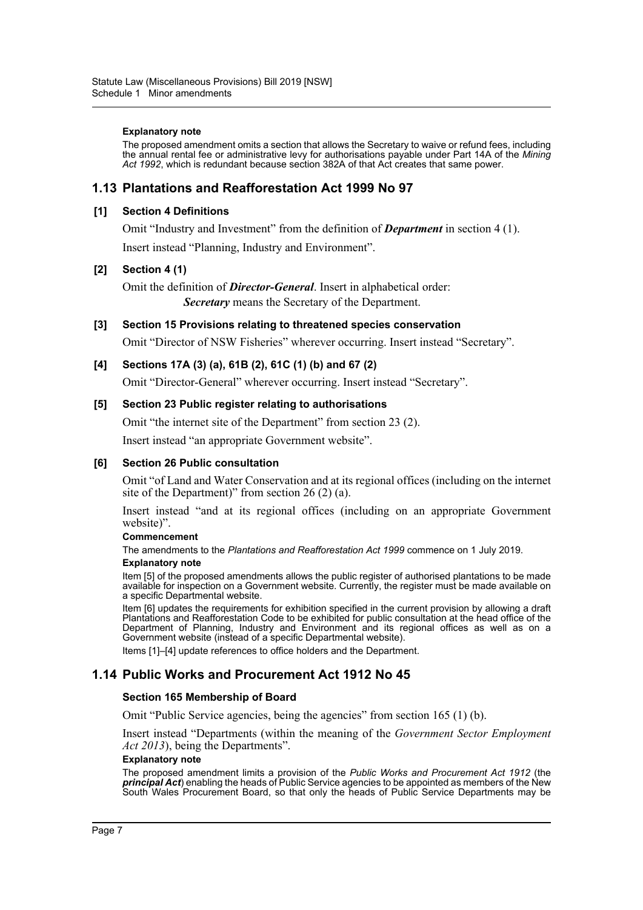#### **Explanatory note**

The proposed amendment omits a section that allows the Secretary to waive or refund fees, including the annual rental fee or administrative levy for authorisations payable under Part 14A of the *Mining Act 1992*, which is redundant because section 382A of that Act creates that same power.

# **1.13 Plantations and Reafforestation Act 1999 No 97**

### **[1] Section 4 Definitions**

Omit "Industry and Investment" from the definition of *Department* in section 4 (1).

Insert instead "Planning, Industry and Environment".

### **[2] Section 4 (1)**

Omit the definition of *Director-General*. Insert in alphabetical order: *Secretary* means the Secretary of the Department.

**[3] Section 15 Provisions relating to threatened species conservation**

Omit "Director of NSW Fisheries" wherever occurring. Insert instead "Secretary".

### **[4] Sections 17A (3) (a), 61B (2), 61C (1) (b) and 67 (2)**

Omit "Director-General" wherever occurring. Insert instead "Secretary".

### **[5] Section 23 Public register relating to authorisations**

Omit "the internet site of the Department" from section 23 (2).

Insert instead "an appropriate Government website".

### **[6] Section 26 Public consultation**

Omit "of Land and Water Conservation and at its regional offices (including on the internet site of the Department)" from section 26 (2) (a).

Insert instead "and at its regional offices (including on an appropriate Government website)".

#### **Commencement**

The amendments to the *Plantations and Reafforestation Act 1999* commence on 1 July 2019.

#### **Explanatory note**

Item [5] of the proposed amendments allows the public register of authorised plantations to be made available for inspection on a Government website. Currently, the register must be made available on a specific Departmental website.

Item [6] updates the requirements for exhibition specified in the current provision by allowing a draft Plantations and Reafforestation Code to be exhibited for public consultation at the head office of the Department of Planning, Industry and Environment and its regional offices as well as on a Government website (instead of a specific Departmental website).

Items [1]–[4] update references to office holders and the Department.

# **1.14 Public Works and Procurement Act 1912 No 45**

### **Section 165 Membership of Board**

Omit "Public Service agencies, being the agencies" from section 165 (1) (b).

Insert instead "Departments (within the meaning of the *Government Sector Employment Act 2013*), being the Departments".

#### **Explanatory note**

The proposed amendment limits a provision of the *Public Works and Procurement Act 1912* (the *principal Act*) enabling the heads of Public Service agencies to be appointed as members of the New South Wales Procurement Board, so that only the heads of Public Service Departments may be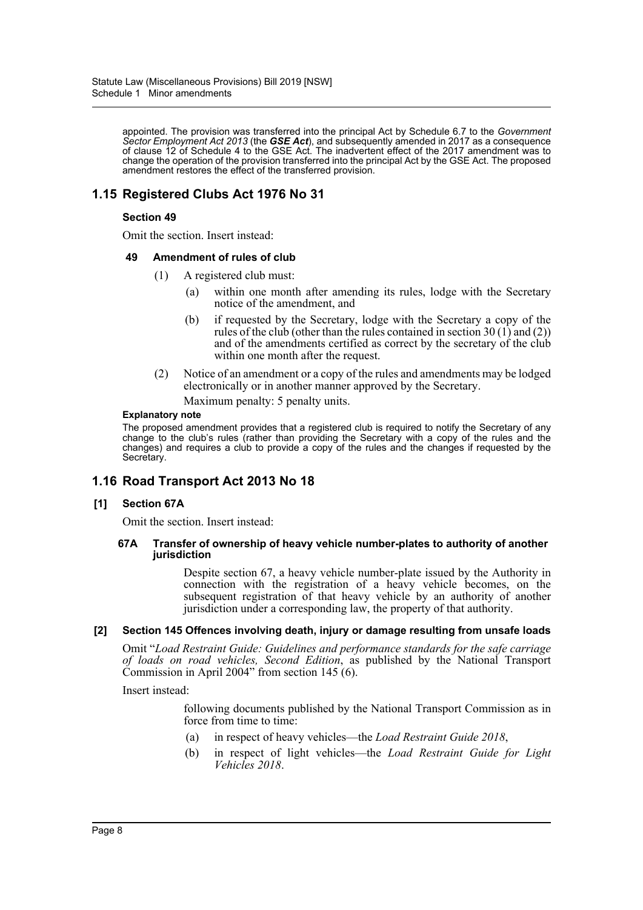appointed. The provision was transferred into the principal Act by Schedule 6.7 to the *Government Sector Employment Act 2013* (the *GSE Act*), and subsequently amended in 2017 as a consequence of clause 12 of Schedule 4 to the GSE Act. The inadvertent effect of the 2017 amendment was to change the operation of the provision transferred into the principal Act by the GSE Act. The proposed amendment restores the effect of the transferred provision.

# **1.15 Registered Clubs Act 1976 No 31**

### **Section 49**

Omit the section. Insert instead:

### **49 Amendment of rules of club**

- (1) A registered club must:
	- (a) within one month after amending its rules, lodge with the Secretary notice of the amendment, and
	- (b) if requested by the Secretary, lodge with the Secretary a copy of the rules of the club (other than the rules contained in section  $30(1)$  and  $(2)$ ) and of the amendments certified as correct by the secretary of the club within one month after the request.
- (2) Notice of an amendment or a copy of the rules and amendments may be lodged electronically or in another manner approved by the Secretary. Maximum penalty: 5 penalty units.

#### **Explanatory note**

The proposed amendment provides that a registered club is required to notify the Secretary of any change to the club's rules (rather than providing the Secretary with a copy of the rules and the changes) and requires a club to provide a copy of the rules and the changes if requested by the Secretary.

# **1.16 Road Transport Act 2013 No 18**

### **[1] Section 67A**

Omit the section. Insert instead:

#### **67A Transfer of ownership of heavy vehicle number-plates to authority of another jurisdiction**

Despite section 67, a heavy vehicle number-plate issued by the Authority in connection with the registration of a heavy vehicle becomes, on the subsequent registration of that heavy vehicle by an authority of another jurisdiction under a corresponding law, the property of that authority.

### **[2] Section 145 Offences involving death, injury or damage resulting from unsafe loads**

Omit "*Load Restraint Guide: Guidelines and performance standards for the safe carriage of loads on road vehicles, Second Edition*, as published by the National Transport Commission in April 2004" from section 145 (6).

Insert instead:

following documents published by the National Transport Commission as in force from time to time:

- (a) in respect of heavy vehicles—the *Load Restraint Guide 2018*,
- (b) in respect of light vehicles—the *Load Restraint Guide for Light Vehicles 2018*.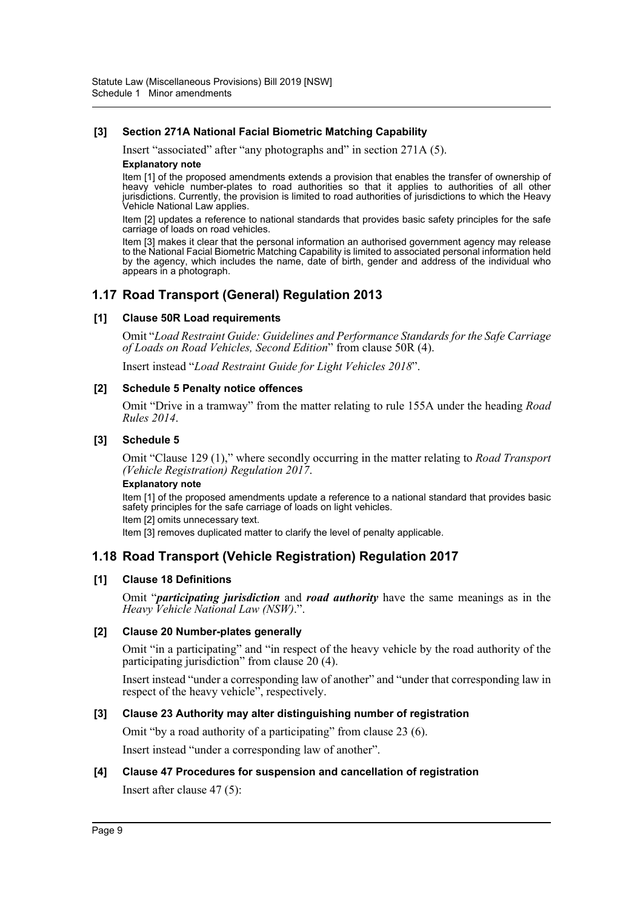### **[3] Section 271A National Facial Biometric Matching Capability**

Insert "associated" after "any photographs and" in section 271A (5).

#### **Explanatory note**

Item [1] of the proposed amendments extends a provision that enables the transfer of ownership of heavy vehicle number-plates to road authorities so that it applies to authorities of all other jurisdictions. Currently, the provision is limited to road authorities of jurisdictions to which the Heavy Vehicle National Law applies.

Item [2] updates a reference to national standards that provides basic safety principles for the safe carriage of loads on road vehicles.

Item [3] makes it clear that the personal information an authorised government agency may release to the National Facial Biometric Matching Capability is limited to associated personal information held by the agency, which includes the name, date of birth, gender and address of the individual who appears in a photograph.

# **1.17 Road Transport (General) Regulation 2013**

### **[1] Clause 50R Load requirements**

Omit "*Load Restraint Guide: Guidelines and Performance Standards for the Safe Carriage of Loads on Road Vehicles, Second Edition*" from clause 50R (4).

Insert instead "*Load Restraint Guide for Light Vehicles 2018*".

### **[2] Schedule 5 Penalty notice offences**

Omit "Drive in a tramway" from the matter relating to rule 155A under the heading *Road Rules 2014*.

### **[3] Schedule 5**

Omit "Clause 129 (1)," where secondly occurring in the matter relating to *Road Transport (Vehicle Registration) Regulation 2017*.

#### **Explanatory note**

Item [1] of the proposed amendments update a reference to a national standard that provides basic safety principles for the safe carriage of loads on light vehicles.

Item [2] omits unnecessary text.

Item [3] removes duplicated matter to clarify the level of penalty applicable.

# **1.18 Road Transport (Vehicle Registration) Regulation 2017**

### **[1] Clause 18 Definitions**

Omit "*participating jurisdiction* and *road authority* have the same meanings as in the *Heavy Vehicle National Law (NSW)*.".

### **[2] Clause 20 Number-plates generally**

Omit "in a participating" and "in respect of the heavy vehicle by the road authority of the participating jurisdiction" from clause 20 (4).

Insert instead "under a corresponding law of another" and "under that corresponding law in respect of the heavy vehicle", respectively.

### **[3] Clause 23 Authority may alter distinguishing number of registration**

Omit "by a road authority of a participating" from clause 23 (6).

Insert instead "under a corresponding law of another".

### **[4] Clause 47 Procedures for suspension and cancellation of registration**

Insert after clause 47 (5):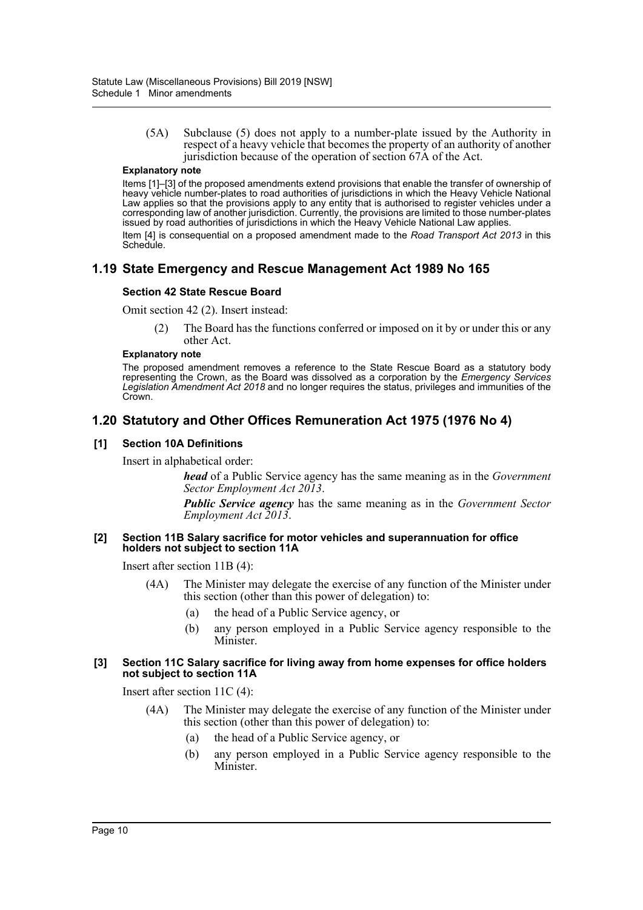(5A) Subclause (5) does not apply to a number-plate issued by the Authority in respect of a heavy vehicle that becomes the property of an authority of another jurisdiction because of the operation of section 67A of the Act.

### **Explanatory note**

Items [1]–[3] of the proposed amendments extend provisions that enable the transfer of ownership of heavy vehicle number-plates to road authorities of jurisdictions in which the Heavy Vehicle National Law applies so that the provisions apply to any entity that is authorised to register vehicles under a corresponding law of another jurisdiction. Currently, the provisions are limited to those number-plates issued by road authorities of jurisdictions in which the Heavy Vehicle National Law applies. Item [4] is consequential on a proposed amendment made to the *Road Transport Act 2013* in this Schedule.

# **1.19 State Emergency and Rescue Management Act 1989 No 165**

### **Section 42 State Rescue Board**

Omit section 42 (2). Insert instead:

(2) The Board has the functions conferred or imposed on it by or under this or any other Act.

#### **Explanatory note**

The proposed amendment removes a reference to the State Rescue Board as a statutory body representing the Crown, as the Board was dissolved as a corporation by the *Emergency Services Legislation Amendment Act 2018* and no longer requires the status, privileges and immunities of the Crown.

# **1.20 Statutory and Other Offices Remuneration Act 1975 (1976 No 4)**

### **[1] Section 10A Definitions**

Insert in alphabetical order:

*head* of a Public Service agency has the same meaning as in the *Government Sector Employment Act 2013*.

*Public Service agency* has the same meaning as in the *Government Sector Employment Act 2013*.

### **[2] Section 11B Salary sacrifice for motor vehicles and superannuation for office holders not subject to section 11A**

Insert after section 11B (4):

- (4A) The Minister may delegate the exercise of any function of the Minister under this section (other than this power of delegation) to:
	- (a) the head of a Public Service agency, or
	- (b) any person employed in a Public Service agency responsible to the Minister.

### **[3] Section 11C Salary sacrifice for living away from home expenses for office holders not subject to section 11A**

Insert after section 11C (4):

- (4A) The Minister may delegate the exercise of any function of the Minister under this section (other than this power of delegation) to:
	- (a) the head of a Public Service agency, or
	- (b) any person employed in a Public Service agency responsible to the Minister.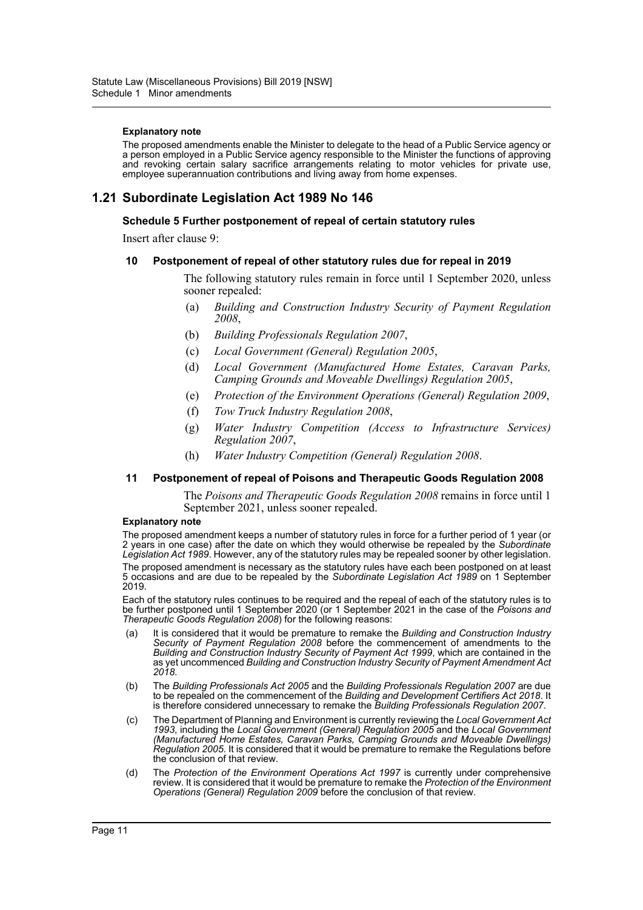#### **Explanatory note**

The proposed amendments enable the Minister to delegate to the head of a Public Service agency or a person employed in a Public Service agency responsible to the Minister the functions of approving and revoking certain salary sacrifice arrangements relating to motor vehicles for private use, employee superannuation contributions and living away from home expenses.

# **1.21 Subordinate Legislation Act 1989 No 146**

#### **Schedule 5 Further postponement of repeal of certain statutory rules**

Insert after clause 9:

#### **10 Postponement of repeal of other statutory rules due for repeal in 2019**

The following statutory rules remain in force until 1 September 2020, unless sooner repealed:

- (a) *Building and Construction Industry Security of Payment Regulation 2008*,
- (b) *Building Professionals Regulation 2007*,
- (c) *Local Government (General) Regulation 2005*,
- (d) *Local Government (Manufactured Home Estates, Caravan Parks, Camping Grounds and Moveable Dwellings) Regulation 2005*,
- (e) *Protection of the Environment Operations (General) Regulation 2009*,
- (f) *Tow Truck Industry Regulation 2008*,
- (g) *Water Industry Competition (Access to Infrastructure Services) Regulation 2007*,
- (h) *Water Industry Competition (General) Regulation 2008*.

#### **11 Postponement of repeal of Poisons and Therapeutic Goods Regulation 2008**

The *Poisons and Therapeutic Goods Regulation 2008* remains in force until 1 September 2021, unless sooner repealed.

#### **Explanatory note**

The proposed amendment keeps a number of statutory rules in force for a further period of 1 year (or 2 years in one case) after the date on which they would otherwise be repealed by the *Subordinate Legislation Act 1989*. However, any of the statutory rules may be repealed sooner by other legislation. The proposed amendment is necessary as the statutory rules have each been postponed on at least 5 occasions and are due to be repealed by the *Subordinate Legislation Act 1989* on 1 September 2019.

Each of the statutory rules continues to be required and the repeal of each of the statutory rules is to be further postponed until 1 September 2020 (or 1 September 2021 in the case of the *Poisons and Therapeutic Goods Regulation 2008*) for the following reasons:

- (a) It is considered that it would be premature to remake the *Building and Construction Industry Security of Payment Regulation 2008* before the commencement of amendments to the *Building and Construction Industry Security of Payment Act 1999*, which are contained in the as yet uncommenced *Building and Construction Industry Security of Payment Amendment Act 2018*.
- (b) The *Building Professionals Act 2005* and the *Building Professionals Regulation 2007* are due to be repealed on the commencement of the *Building and Development Certifiers Act 2018*. It is therefore considered unnecessary to remake the *Building Professionals Regulation 2007*.
- (c) The Department of Planning and Environment is currently reviewing the *Local Government Act 1993*, including the *Local Government (General) Regulation 2005* and the *Local Government (Manufactured Home Estates, Caravan Parks, Camping Grounds and Moveable Dwellings) Regulation 2005*. It is considered that it would be premature to remake the Regulations before the conclusion of that review.
- (d) The *Protection of the Environment Operations Act 1997* is currently under comprehensive review. It is considered that it would be premature to remake the *Protection of the Environment Operations (General) Regulation 2009* before the conclusion of that review.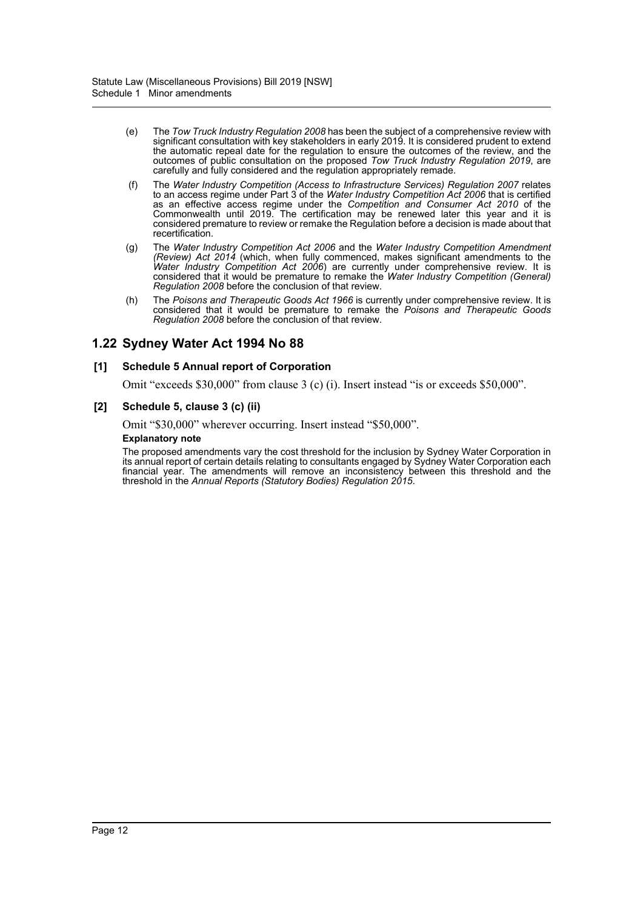- (e) The *Tow Truck Industry Regulation 2008* has been the subject of a comprehensive review with significant consultation with key stakeholders in early 2019. It is considered prudent to extend the automatic repeal date for the regulation to ensure the outcomes of the review, and the outcomes of public consultation on the proposed *Tow Truck Industry Regulation 2019*, are carefully and fully considered and the regulation appropriately remade.
- (f) The *Water Industry Competition (Access to Infrastructure Services) Regulation 2007* relates to an access regime under Part 3 of the *Water Industry Competition Act 2006* that is certified as an effective access regime under the *Competition and Consumer Act 2010* of the Commonwealth until 2019. The certification may be renewed later this year and it is considered premature to review or remake the Regulation before a decision is made about that recertification.
- (g) The *Water Industry Competition Act 2006* and the *Water Industry Competition Amendment (Review) Act 2014* (which, when fully commenced, makes significant amendments to the *Water Industry Competition Act 2006*) are currently under comprehensive review. It is considered that it would be premature to remake the *Water Industry Competition (General) Regulation 2008* before the conclusion of that review.
- (h) The *Poisons and Therapeutic Goods Act 1966* is currently under comprehensive review. It is considered that it would be premature to remake the *Poisons and Therapeutic Goods Regulation 2008* before the conclusion of that review.

# **1.22 Sydney Water Act 1994 No 88**

### **[1] Schedule 5 Annual report of Corporation**

Omit "exceeds \$30,000" from clause 3 (c) (i). Insert instead "is or exceeds \$50,000".

### **[2] Schedule 5, clause 3 (c) (ii)**

Omit "\$30,000" wherever occurring. Insert instead "\$50,000".

#### **Explanatory note**

The proposed amendments vary the cost threshold for the inclusion by Sydney Water Corporation in its annual report of certain details relating to consultants engaged by Sydney Water Corporation each financial year. The amendments will remove an inconsistency between this threshold and the threshold in the *Annual Reports (Statutory Bodies) Regulation 2015*.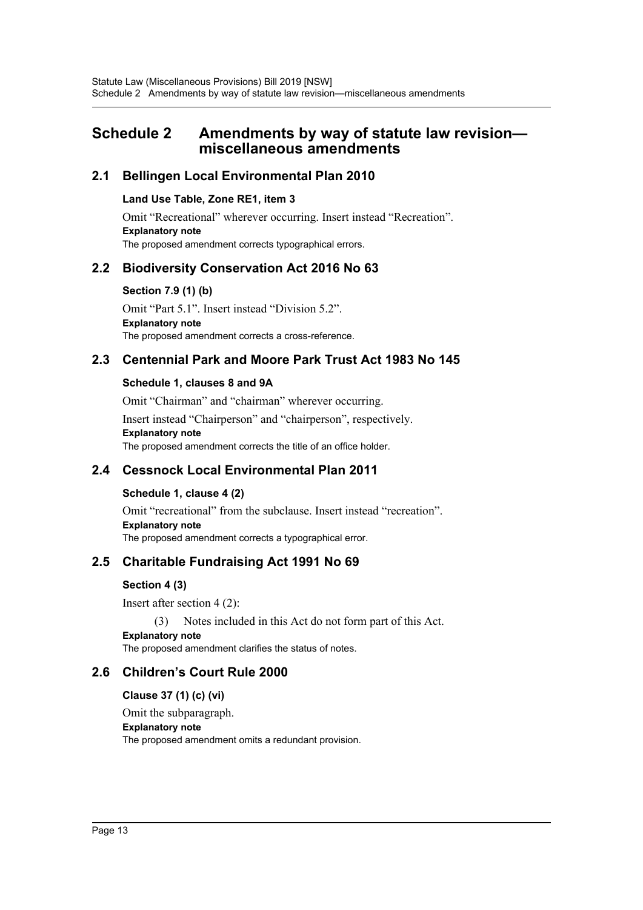# <span id="page-13-0"></span>**Schedule 2 Amendments by way of statute law revision miscellaneous amendments**

# **2.1 Bellingen Local Environmental Plan 2010**

### **Land Use Table, Zone RE1, item 3**

Omit "Recreational" wherever occurring. Insert instead "Recreation". **Explanatory note** The proposed amendment corrects typographical errors.

# **2.2 Biodiversity Conservation Act 2016 No 63**

**Section 7.9 (1) (b)**

Omit "Part 5.1". Insert instead "Division 5.2". **Explanatory note** The proposed amendment corrects a cross-reference.

# **2.3 Centennial Park and Moore Park Trust Act 1983 No 145**

# **Schedule 1, clauses 8 and 9A**

Omit "Chairman" and "chairman" wherever occurring.

Insert instead "Chairperson" and "chairperson", respectively. **Explanatory note**

The proposed amendment corrects the title of an office holder.

# **2.4 Cessnock Local Environmental Plan 2011**

# **Schedule 1, clause 4 (2)**

Omit "recreational" from the subclause. Insert instead "recreation". **Explanatory note** The proposed amendment corrects a typographical error.

# **2.5 Charitable Fundraising Act 1991 No 69**

# **Section 4 (3)**

Insert after section 4 (2):

(3) Notes included in this Act do not form part of this Act. **Explanatory note** The proposed amendment clarifies the status of notes.

# **2.6 Children's Court Rule 2000**

**Clause 37 (1) (c) (vi)**

Omit the subparagraph.

### **Explanatory note**

The proposed amendment omits a redundant provision.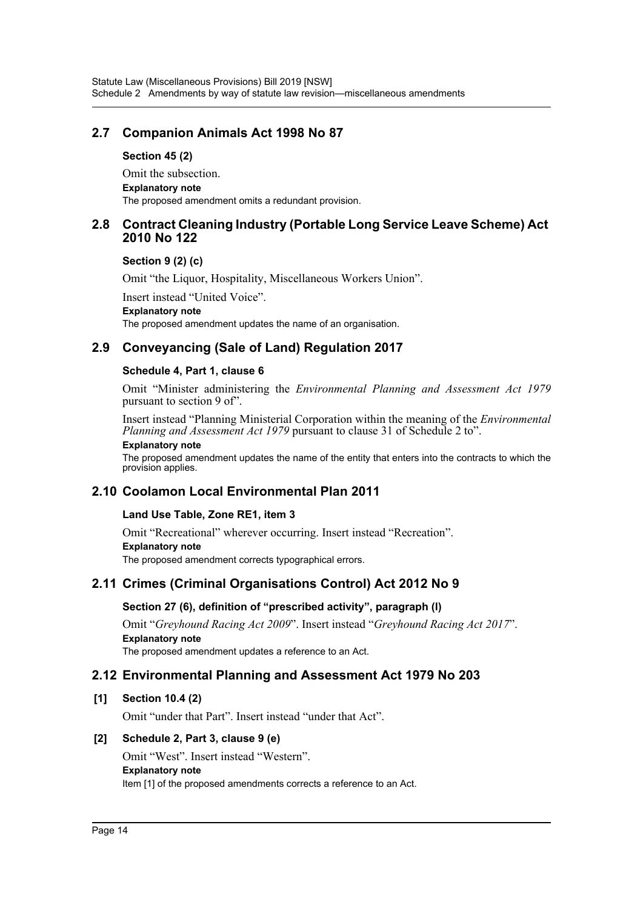# **2.7 Companion Animals Act 1998 No 87**

### **Section 45 (2)**

Omit the subsection. **Explanatory note** The proposed amendment omits a redundant provision.

# **2.8 Contract Cleaning Industry (Portable Long Service Leave Scheme) Act 2010 No 122**

### **Section 9 (2) (c)**

Omit "the Liquor, Hospitality, Miscellaneous Workers Union".

Insert instead "United Voice".

### **Explanatory note**

The proposed amendment updates the name of an organisation.

# **2.9 Conveyancing (Sale of Land) Regulation 2017**

### **Schedule 4, Part 1, clause 6**

Omit "Minister administering the *Environmental Planning and Assessment Act 1979* pursuant to section 9 of".

Insert instead "Planning Ministerial Corporation within the meaning of the *Environmental Planning and Assessment Act 1979* pursuant to clause 31 of Schedule 2 to".

#### **Explanatory note**

The proposed amendment updates the name of the entity that enters into the contracts to which the provision applies.

# **2.10 Coolamon Local Environmental Plan 2011**

# **Land Use Table, Zone RE1, item 3**

Omit "Recreational" wherever occurring. Insert instead "Recreation". **Explanatory note** The proposed amendment corrects typographical errors.

# **2.11 Crimes (Criminal Organisations Control) Act 2012 No 9**

# **Section 27 (6), definition of "prescribed activity", paragraph (l)**

Omit "*Greyhound Racing Act 2009*". Insert instead "*Greyhound Racing Act 2017*". **Explanatory note**

The proposed amendment updates a reference to an Act.

# **2.12 Environmental Planning and Assessment Act 1979 No 203**

# **[1] Section 10.4 (2)**

Omit "under that Part". Insert instead "under that Act".

# **[2] Schedule 2, Part 3, clause 9 (e)**

Omit "West". Insert instead "Western". **Explanatory note** Item [1] of the proposed amendments corrects a reference to an Act.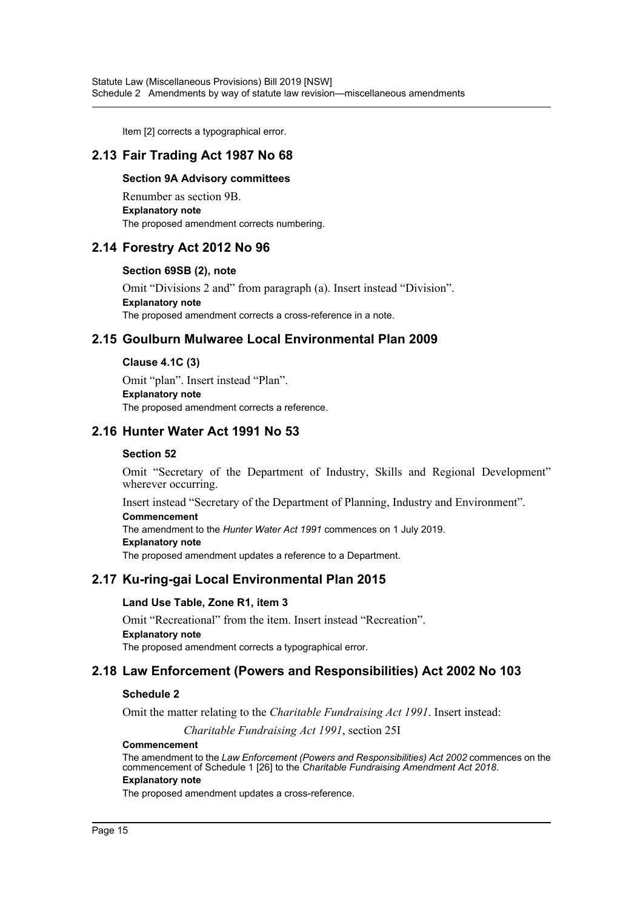Item [2] corrects a typographical error.

# **2.13 Fair Trading Act 1987 No 68**

### **Section 9A Advisory committees**

Renumber as section 9B. **Explanatory note** The proposed amendment corrects numbering.

# **2.14 Forestry Act 2012 No 96**

### **Section 69SB (2), note**

Omit "Divisions 2 and" from paragraph (a). Insert instead "Division". **Explanatory note** The proposed amendment corrects a cross-reference in a note.

# **2.15 Goulburn Mulwaree Local Environmental Plan 2009**

### **Clause 4.1C (3)**

Omit "plan". Insert instead "Plan". **Explanatory note** The proposed amendment corrects a reference.

# **2.16 Hunter Water Act 1991 No 53**

### **Section 52**

Omit "Secretary of the Department of Industry, Skills and Regional Development" wherever occurring.

Insert instead "Secretary of the Department of Planning, Industry and Environment". **Commencement**

The amendment to the *Hunter Water Act 1991* commences on 1 July 2019.

### **Explanatory note**

The proposed amendment updates a reference to a Department.

# **2.17 Ku-ring-gai Local Environmental Plan 2015**

### **Land Use Table, Zone R1, item 3**

Omit "Recreational" from the item. Insert instead "Recreation". **Explanatory note** The proposed amendment corrects a typographical error.

# **2.18 Law Enforcement (Powers and Responsibilities) Act 2002 No 103**

### **Schedule 2**

Omit the matter relating to the *Charitable Fundraising Act 1991*. Insert instead:

*Charitable Fundraising Act 1991*, section 25I

#### **Commencement**

The amendment to the *Law Enforcement (Powers and Responsibilities) Act 2002* commences on the commencement of Schedule 1 [26] to the *Charitable Fundraising Amendment Act 2018*.

### **Explanatory note**

The proposed amendment updates a cross-reference.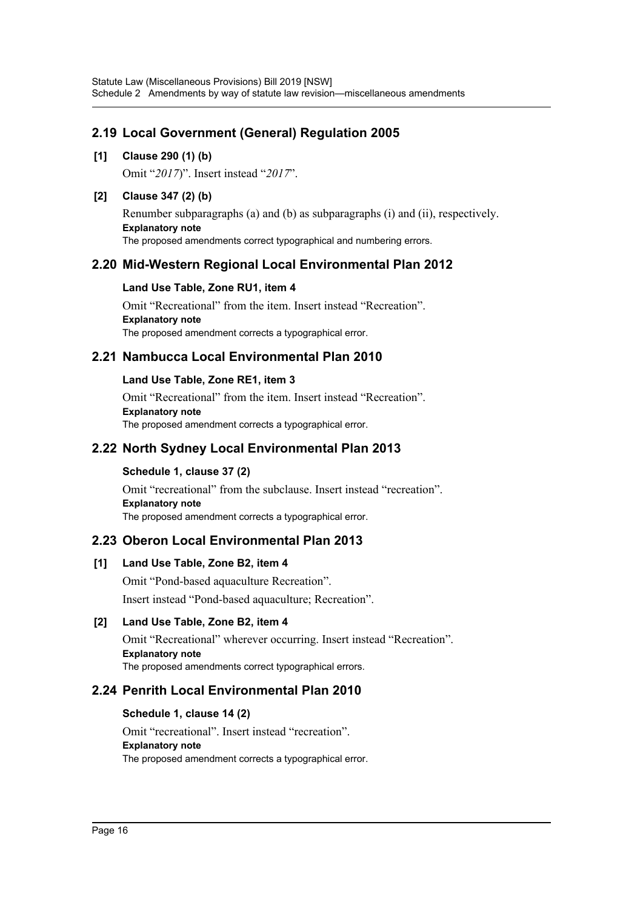# **2.19 Local Government (General) Regulation 2005**

# **[1] Clause 290 (1) (b)**

Omit "*2017*)". Insert instead "*2017*".

# **[2] Clause 347 (2) (b)**

Renumber subparagraphs (a) and (b) as subparagraphs (i) and (ii), respectively. **Explanatory note** The proposed amendments correct typographical and numbering errors.

# **2.20 Mid-Western Regional Local Environmental Plan 2012**

# **Land Use Table, Zone RU1, item 4**

Omit "Recreational" from the item. Insert instead "Recreation". **Explanatory note** The proposed amendment corrects a typographical error.

# **2.21 Nambucca Local Environmental Plan 2010**

# **Land Use Table, Zone RE1, item 3**

Omit "Recreational" from the item. Insert instead "Recreation". **Explanatory note** The proposed amendment corrects a typographical error.

# **2.22 North Sydney Local Environmental Plan 2013**

# **Schedule 1, clause 37 (2)**

Omit "recreational" from the subclause. Insert instead "recreation". **Explanatory note** The proposed amendment corrects a typographical error.

# **2.23 Oberon Local Environmental Plan 2013**

# **[1] Land Use Table, Zone B2, item 4**

Omit "Pond-based aquaculture Recreation".

Insert instead "Pond-based aquaculture; Recreation".

# **[2] Land Use Table, Zone B2, item 4**

Omit "Recreational" wherever occurring. Insert instead "Recreation". **Explanatory note** The proposed amendments correct typographical errors.

# **2.24 Penrith Local Environmental Plan 2010**

# **Schedule 1, clause 14 (2)**

Omit "recreational". Insert instead "recreation". **Explanatory note** The proposed amendment corrects a typographical error.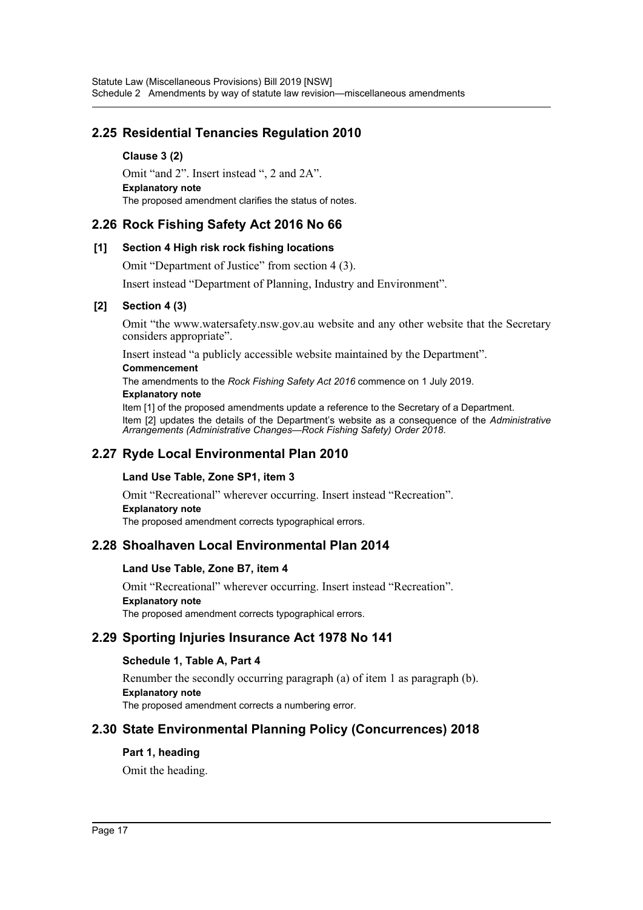# **2.25 Residential Tenancies Regulation 2010**

**Clause 3 (2)** Omit "and 2". Insert instead ", 2 and 2A". **Explanatory note** The proposed amendment clarifies the status of notes.

# **2.26 Rock Fishing Safety Act 2016 No 66**

### **[1] Section 4 High risk rock fishing locations**

Omit "Department of Justice" from section 4 (3).

Insert instead "Department of Planning, Industry and Environment".

### **[2] Section 4 (3)**

Omit "the www.watersafety.nsw.gov.au website and any other website that the Secretary considers appropriate".

Insert instead "a publicly accessible website maintained by the Department".

### **Commencement**

The amendments to the *Rock Fishing Safety Act 2016* commence on 1 July 2019. **Explanatory note**

Item [1] of the proposed amendments update a reference to the Secretary of a Department. Item [2] updates the details of the Department's website as a consequence of the *Administrative Arrangements (Administrative Changes—Rock Fishing Safety) Order 2018*.

# **2.27 Ryde Local Environmental Plan 2010**

# **Land Use Table, Zone SP1, item 3**

Omit "Recreational" wherever occurring. Insert instead "Recreation". **Explanatory note** The proposed amendment corrects typographical errors.

# **2.28 Shoalhaven Local Environmental Plan 2014**

### **Land Use Table, Zone B7, item 4**

Omit "Recreational" wherever occurring. Insert instead "Recreation". **Explanatory note** The proposed amendment corrects typographical errors.

# **2.29 Sporting Injuries Insurance Act 1978 No 141**

# **Schedule 1, Table A, Part 4**

Renumber the secondly occurring paragraph (a) of item 1 as paragraph (b). **Explanatory note** The proposed amendment corrects a numbering error.

# **2.30 State Environmental Planning Policy (Concurrences) 2018**

# **Part 1, heading**

Omit the heading.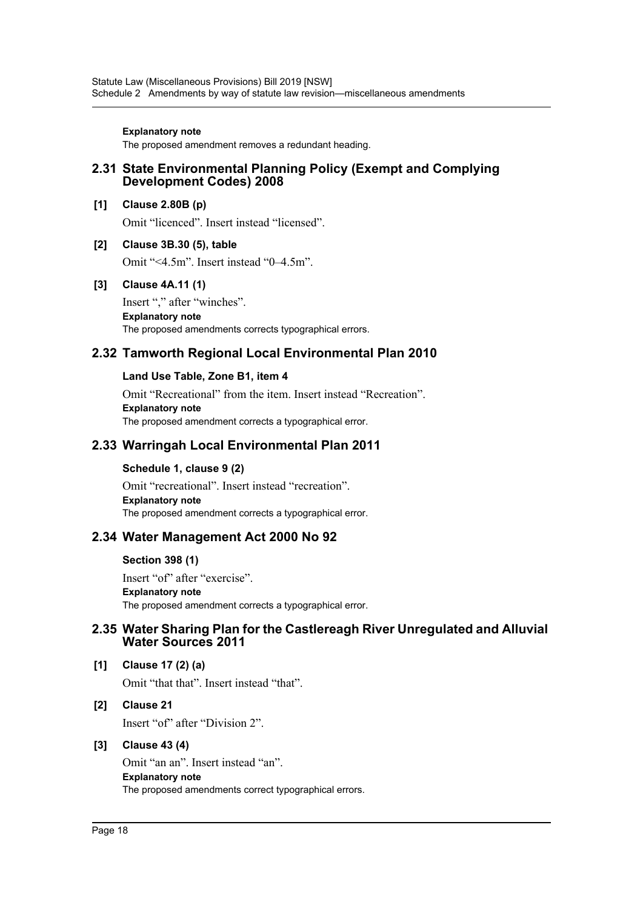#### **Explanatory note**

The proposed amendment removes a redundant heading.

### **2.31 State Environmental Planning Policy (Exempt and Complying Development Codes) 2008**

### **[1] Clause 2.80B (p)**

Omit "licenced". Insert instead "licensed".

### **[2] Clause 3B.30 (5), table**

Omit "<4.5m". Insert instead "0–4.5m".

### **[3] Clause 4A.11 (1)**

Insert "," after "winches". **Explanatory note** The proposed amendments corrects typographical errors.

# **2.32 Tamworth Regional Local Environmental Plan 2010**

### **Land Use Table, Zone B1, item 4**

Omit "Recreational" from the item. Insert instead "Recreation". **Explanatory note** The proposed amendment corrects a typographical error.

# **2.33 Warringah Local Environmental Plan 2011**

### **Schedule 1, clause 9 (2)**

Omit "recreational". Insert instead "recreation". **Explanatory note** The proposed amendment corrects a typographical error.

# **2.34 Water Management Act 2000 No 92**

#### **Section 398 (1)**

Insert "of" after "exercise". **Explanatory note** The proposed amendment corrects a typographical error.

# **2.35 Water Sharing Plan for the Castlereagh River Unregulated and Alluvial Water Sources 2011**

### **[1] Clause 17 (2) (a)**

Omit "that that". Insert instead "that".

### **[2] Clause 21**

Insert "of" after "Division 2".

### **[3] Clause 43 (4)**

Omit "an an". Insert instead "an". **Explanatory note** The proposed amendments correct typographical errors.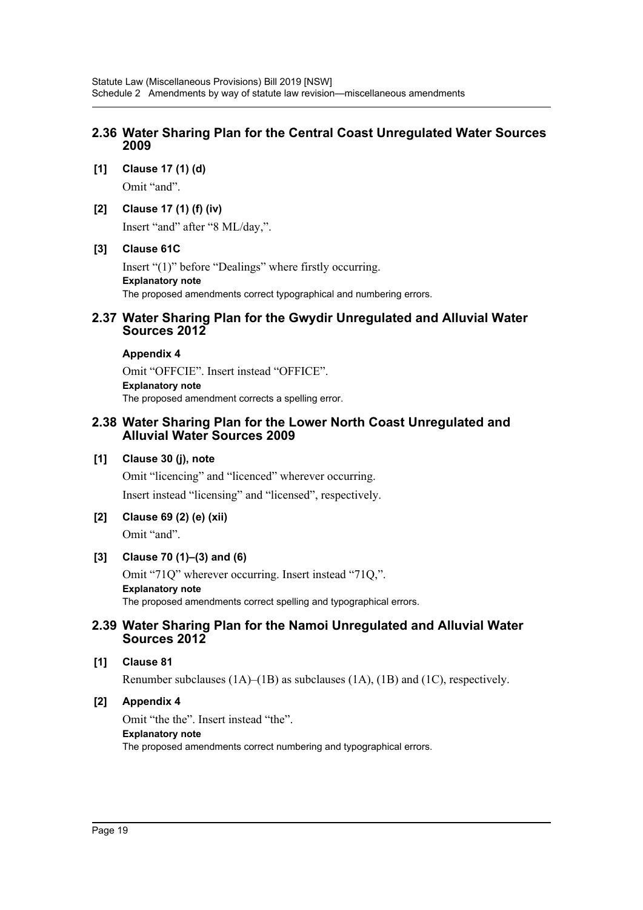# **2.36 Water Sharing Plan for the Central Coast Unregulated Water Sources 2009**

**[1] Clause 17 (1) (d)**

Omit "and".

### **[2] Clause 17 (1) (f) (iv)**

Insert "and" after "8 ML/day,".

### **[3] Clause 61C**

Insert "(1)" before "Dealings" where firstly occurring. **Explanatory note** The proposed amendments correct typographical and numbering errors.

### **2.37 Water Sharing Plan for the Gwydir Unregulated and Alluvial Water Sources 2012**

### **Appendix 4**

Omit "OFFCIE". Insert instead "OFFICE". **Explanatory note** The proposed amendment corrects a spelling error.

### **2.38 Water Sharing Plan for the Lower North Coast Unregulated and Alluvial Water Sources 2009**

### **[1] Clause 30 (j), note**

Omit "licencing" and "licenced" wherever occurring. Insert instead "licensing" and "licensed", respectively.

# **[2] Clause 69 (2) (e) (xii)**

Omit "and".

# **[3] Clause 70 (1)–(3) and (6)**

Omit "71Q" wherever occurring. Insert instead "71Q,". **Explanatory note** The proposed amendments correct spelling and typographical errors.

### **2.39 Water Sharing Plan for the Namoi Unregulated and Alluvial Water Sources 2012**

### **[1] Clause 81**

Renumber subclauses (1A)–(1B) as subclauses (1A), (1B) and (1C), respectively.

# **[2] Appendix 4**

Omit "the the". Insert instead "the". **Explanatory note** The proposed amendments correct numbering and typographical errors.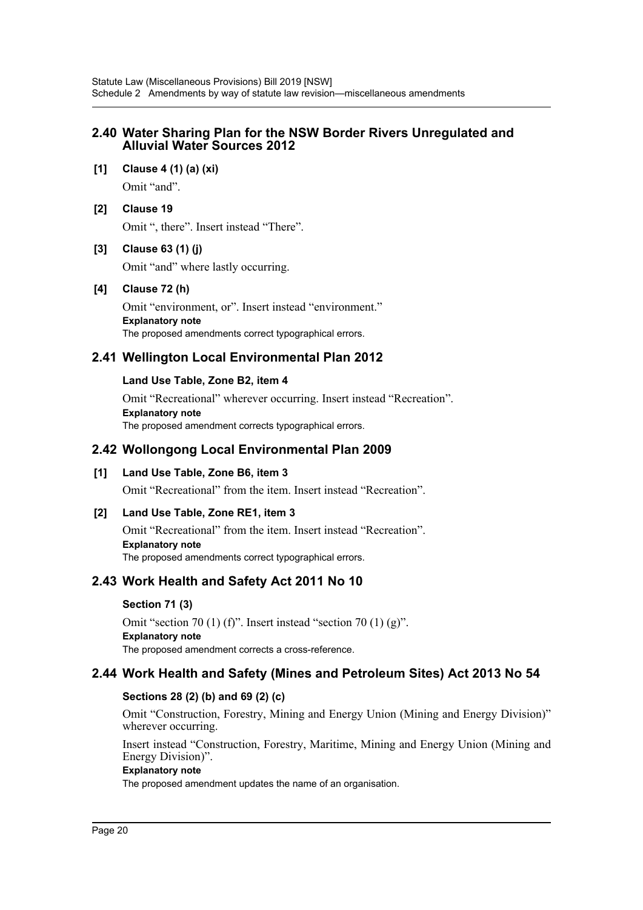# **2.40 Water Sharing Plan for the NSW Border Rivers Unregulated and Alluvial Water Sources 2012**

**[1] Clause 4 (1) (a) (xi)** Omit "and".

# **[2] Clause 19**

Omit ", there". Insert instead "There".

# **[3] Clause 63 (1) (j)**

Omit "and" where lastly occurring.

# **[4] Clause 72 (h)**

Omit "environment, or". Insert instead "environment." **Explanatory note** The proposed amendments correct typographical errors.

# **2.41 Wellington Local Environmental Plan 2012**

# **Land Use Table, Zone B2, item 4**

Omit "Recreational" wherever occurring. Insert instead "Recreation". **Explanatory note** The proposed amendment corrects typographical errors.

# **2.42 Wollongong Local Environmental Plan 2009**

# **[1] Land Use Table, Zone B6, item 3**

Omit "Recreational" from the item. Insert instead "Recreation".

# **[2] Land Use Table, Zone RE1, item 3**

Omit "Recreational" from the item. Insert instead "Recreation". **Explanatory note** The proposed amendments correct typographical errors.

# **2.43 Work Health and Safety Act 2011 No 10**

# **Section 71 (3)**

Omit "section 70 (1) (f)". Insert instead "section 70 (1) (g)". **Explanatory note** The proposed amendment corrects a cross-reference.

# **2.44 Work Health and Safety (Mines and Petroleum Sites) Act 2013 No 54**

# **Sections 28 (2) (b) and 69 (2) (c)**

Omit "Construction, Forestry, Mining and Energy Union (Mining and Energy Division)" wherever occurring.

Insert instead "Construction, Forestry, Maritime, Mining and Energy Union (Mining and Energy Division)".

### **Explanatory note**

The proposed amendment updates the name of an organisation.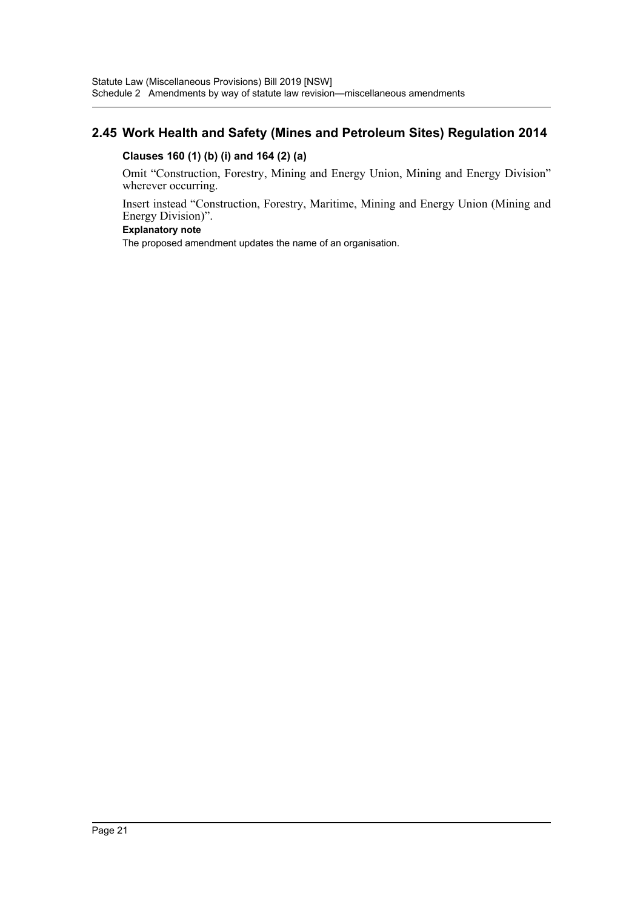# **2.45 Work Health and Safety (Mines and Petroleum Sites) Regulation 2014**

# **Clauses 160 (1) (b) (i) and 164 (2) (a)**

Omit "Construction, Forestry, Mining and Energy Union, Mining and Energy Division" wherever occurring.

Insert instead "Construction, Forestry, Maritime, Mining and Energy Union (Mining and Energy Division)".

### **Explanatory note**

The proposed amendment updates the name of an organisation.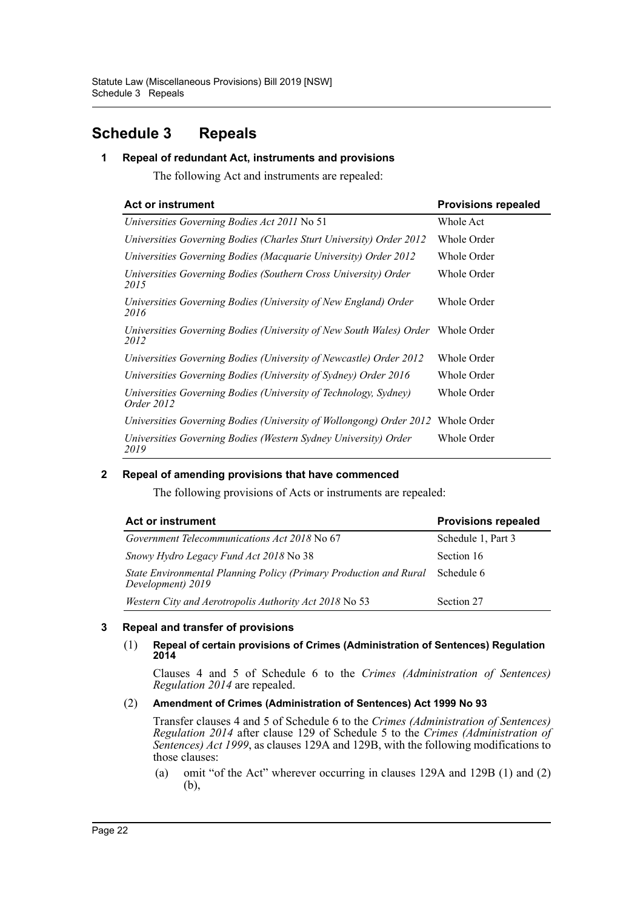# <span id="page-22-0"></span>**Schedule 3 Repeals**

# **1 Repeal of redundant Act, instruments and provisions**

The following Act and instruments are repealed:

| <b>Act or instrument</b>                                                                | <b>Provisions repealed</b> |
|-----------------------------------------------------------------------------------------|----------------------------|
| Universities Governing Bodies Act 2011 No 51                                            | Whole Act                  |
| Universities Governing Bodies (Charles Sturt University) Order 2012                     | Whole Order                |
| Universities Governing Bodies (Macquarie University) Order 2012                         | Whole Order                |
| Universities Governing Bodies (Southern Cross University) Order<br>2015                 | Whole Order                |
| Universities Governing Bodies (University of New England) Order<br>2016                 | Whole Order                |
| Universities Governing Bodies (University of New South Wales) Order Whole Order<br>2012 |                            |
| Universities Governing Bodies (University of Newcastle) Order 2012                      | Whole Order                |
| Universities Governing Bodies (University of Sydney) Order 2016                         | Whole Order                |
| Universities Governing Bodies (University of Technology, Sydney)<br>Order 2012          | Whole Order                |
| Universities Governing Bodies (University of Wollongong) Order 2012                     | Whole Order                |
| Universities Governing Bodies (Western Sydney University) Order<br>2019                 | Whole Order                |

# **2 Repeal of amending provisions that have commenced**

The following provisions of Acts or instruments are repealed:

| <b>Act or instrument</b>                                                               | <b>Provisions repealed</b> |  |
|----------------------------------------------------------------------------------------|----------------------------|--|
| <i>Government Telecommunications Act 2018</i> No 67                                    | Schedule 1, Part 3         |  |
| Snowy Hydro Legacy Fund Act 2018 No 38                                                 | Section 16                 |  |
| State Environmental Planning Policy (Primary Production and Rural<br>Development) 2019 | Schedule 6                 |  |
| Western City and Aerotropolis Authority Act 2018 No 53                                 | Section 27                 |  |

### **3 Repeal and transfer of provisions**

### (1) **Repeal of certain provisions of Crimes (Administration of Sentences) Regulation 2014**

Clauses 4 and 5 of Schedule 6 to the *Crimes (Administration of Sentences) Regulation 2014* are repealed.

### (2) **Amendment of Crimes (Administration of Sentences) Act 1999 No 93**

Transfer clauses 4 and 5 of Schedule 6 to the *Crimes (Administration of Sentences) Regulation 2014* after clause 129 of Schedule 5 to the *Crimes (Administration of Sentences) Act 1999*, as clauses 129A and 129B, with the following modifications to those clauses:

(a) omit "of the Act" wherever occurring in clauses 129A and 129B (1) and (2) (b),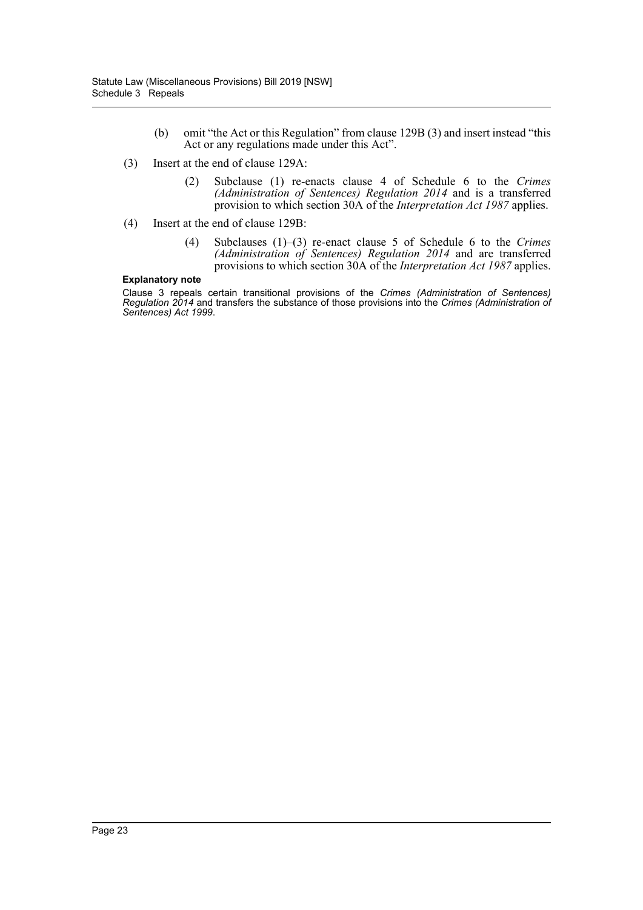- (b) omit "the Act or this Regulation" from clause 129B (3) and insert instead "this Act or any regulations made under this Act".
- (3) Insert at the end of clause 129A:
	- (2) Subclause (1) re-enacts clause 4 of Schedule 6 to the *Crimes (Administration of Sentences) Regulation 2014* and is a transferred provision to which section 30A of the *Interpretation Act 1987* applies.
- (4) Insert at the end of clause 129B:
	- (4) Subclauses (1)–(3) re-enact clause 5 of Schedule 6 to the *Crimes (Administration of Sentences) Regulation 2014* and are transferred provisions to which section 30A of the *Interpretation Act 1987* applies.

#### **Explanatory note**

Clause 3 repeals certain transitional provisions of the *Crimes (Administration of Sentences) Regulation 2014* and transfers the substance of those provisions into the *Crimes (Administration of Sentences) Act 1999*.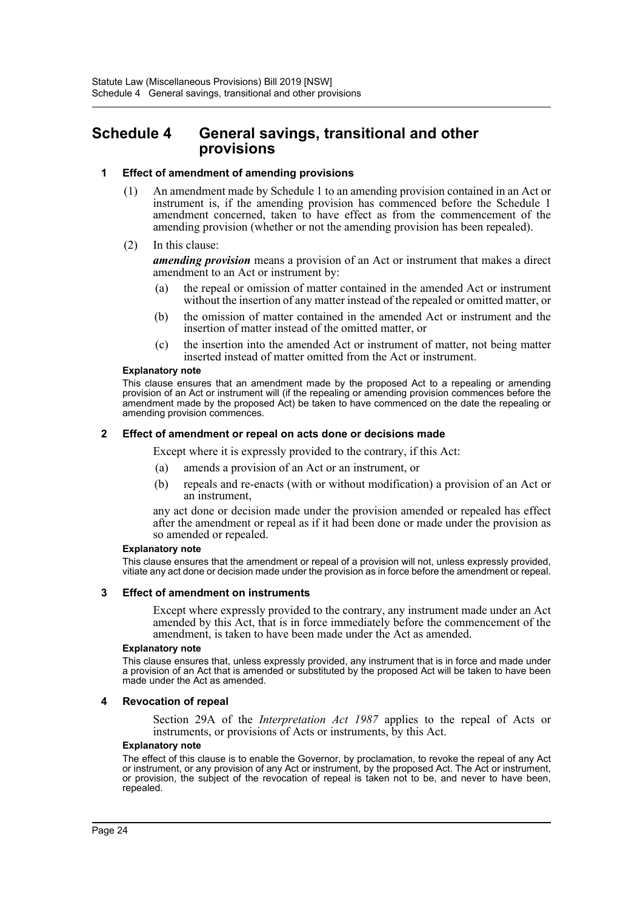# <span id="page-24-0"></span>**Schedule 4 General savings, transitional and other provisions**

### **1 Effect of amendment of amending provisions**

- (1) An amendment made by Schedule 1 to an amending provision contained in an Act or instrument is, if the amending provision has commenced before the Schedule 1 amendment concerned, taken to have effect as from the commencement of the amending provision (whether or not the amending provision has been repealed).
- (2) In this clause:

*amending provision* means a provision of an Act or instrument that makes a direct amendment to an Act or instrument by:

- (a) the repeal or omission of matter contained in the amended Act or instrument without the insertion of any matter instead of the repealed or omitted matter, or
- (b) the omission of matter contained in the amended Act or instrument and the insertion of matter instead of the omitted matter, or
- (c) the insertion into the amended Act or instrument of matter, not being matter inserted instead of matter omitted from the Act or instrument.

#### **Explanatory note**

This clause ensures that an amendment made by the proposed Act to a repealing or amending provision of an Act or instrument will (if the repealing or amending provision commences before the amendment made by the proposed Act) be taken to have commenced on the date the repealing or amending provision commences.

#### **2 Effect of amendment or repeal on acts done or decisions made**

Except where it is expressly provided to the contrary, if this Act:

- (a) amends a provision of an Act or an instrument, or
- (b) repeals and re-enacts (with or without modification) a provision of an Act or an instrument,

any act done or decision made under the provision amended or repealed has effect after the amendment or repeal as if it had been done or made under the provision as so amended or repealed.

#### **Explanatory note**

This clause ensures that the amendment or repeal of a provision will not, unless expressly provided, vitiate any act done or decision made under the provision as in force before the amendment or repeal.

#### **3 Effect of amendment on instruments**

Except where expressly provided to the contrary, any instrument made under an Act amended by this Act, that is in force immediately before the commencement of the amendment, is taken to have been made under the Act as amended.

#### **Explanatory note**

This clause ensures that, unless expressly provided, any instrument that is in force and made under a provision of an Act that is amended or substituted by the proposed Act will be taken to have been made under the Act as amended.

#### **4 Revocation of repeal**

Section 29A of the *Interpretation Act 1987* applies to the repeal of Acts or instruments, or provisions of Acts or instruments, by this Act.

#### **Explanatory note**

The effect of this clause is to enable the Governor, by proclamation, to revoke the repeal of any Act or instrument, or any provision of any Act or instrument, by the proposed Act. The Act or instrument, or provision, the subject of the revocation of repeal is taken not to be, and never to have been, repealed.